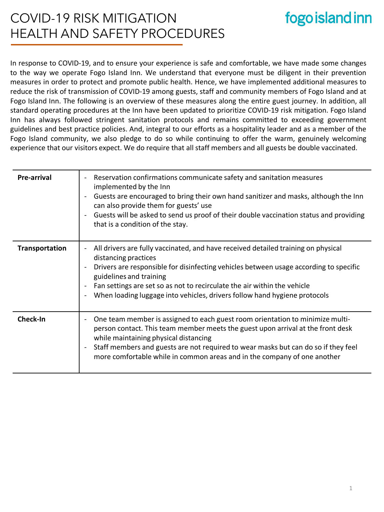### COVID-19 RISK MITIGATION HEALTH AND SAFETY PROCEDURES

## fogo island inn

In response to COVID-19, and to ensure your experience is safe and comfortable, we have made some changes to the way we operate Fogo Island Inn. We understand that everyone must be diligent in their prevention measures in order to protect and promote public health. Hence, we have implemented additional measures to reduce the risk of transmission of COVID-19 among guests, staff and community members of Fogo Island and at Fogo Island Inn. The following is an overview of these measures along the entire guest journey. In addition, all standard operating procedures at the Inn have been updated to prioritize COVID-19 risk mitigation. Fogo Island Inn has always followed stringent sanitation protocols and remains committed to exceeding government guidelines and best practice policies. And, integral to our efforts as a hospitality leader and as a member of the Fogo Island community, we also pledge to do so while continuing to offer the warm, genuinely welcoming experience that our visitors expect. We do require that all staff members and all guests be double vaccinated.

| Pre-arrival    | Reservation confirmations communicate safety and sanitation measures<br>$\overline{\phantom{a}}$<br>implemented by the Inn<br>Guests are encouraged to bring their own hand sanitizer and masks, although the Inn<br>can also provide them for guests' use<br>Guests will be asked to send us proof of their double vaccination status and providing<br>that is a condition of the stay.                           |
|----------------|--------------------------------------------------------------------------------------------------------------------------------------------------------------------------------------------------------------------------------------------------------------------------------------------------------------------------------------------------------------------------------------------------------------------|
| Transportation | All drivers are fully vaccinated, and have received detailed training on physical<br>distancing practices<br>Drivers are responsible for disinfecting vehicles between usage according to specific<br>guidelines and training<br>Fan settings are set so as not to recirculate the air within the vehicle<br>When loading luggage into vehicles, drivers follow hand hygiene protocols<br>$\overline{\phantom{a}}$ |
| Check-In       | One team member is assigned to each guest room orientation to minimize multi-<br>person contact. This team member meets the guest upon arrival at the front desk<br>while maintaining physical distancing<br>Staff members and guests are not required to wear masks but can do so if they feel<br>$\overline{\phantom{a}}$<br>more comfortable while in common areas and in the company of one another            |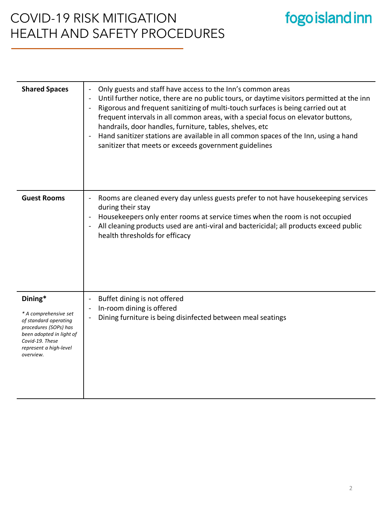### COVID-19 RISK MITIGATION HEALTH AND SAFETY PROCEDURES

# fogo island inn

| <b>Shared Spaces</b>                                                                                                                                                     | Only guests and staff have access to the Inn's common areas<br>Until further notice, there are no public tours, or daytime visitors permitted at the inn<br>Rigorous and frequent sanitizing of multi-touch surfaces is being carried out at<br>frequent intervals in all common areas, with a special focus on elevator buttons,<br>handrails, door handles, furniture, tables, shelves, etc<br>Hand sanitizer stations are available in all common spaces of the Inn, using a hand<br>sanitizer that meets or exceeds government guidelines |
|--------------------------------------------------------------------------------------------------------------------------------------------------------------------------|-----------------------------------------------------------------------------------------------------------------------------------------------------------------------------------------------------------------------------------------------------------------------------------------------------------------------------------------------------------------------------------------------------------------------------------------------------------------------------------------------------------------------------------------------|
| <b>Guest Rooms</b>                                                                                                                                                       | Rooms are cleaned every day unless guests prefer to not have housekeeping services<br>during their stay<br>Housekeepers only enter rooms at service times when the room is not occupied<br>All cleaning products used are anti-viral and bactericidal; all products exceed public<br>health thresholds for efficacy                                                                                                                                                                                                                           |
| Dining*<br>* A comprehensive set<br>of standard operating<br>procedures (SOPs) has<br>been adopted in light of<br>Covid-19. These<br>represent a high-level<br>overview. | Buffet dining is not offered<br>In-room dining is offered<br>Dining furniture is being disinfected between meal seatings                                                                                                                                                                                                                                                                                                                                                                                                                      |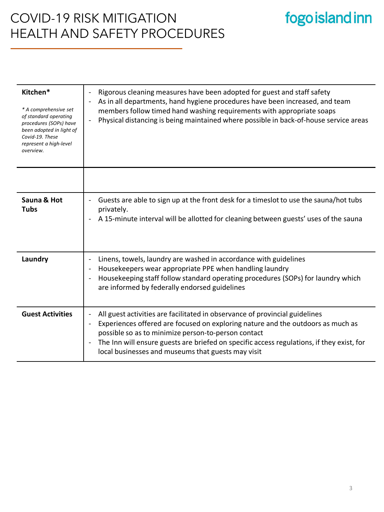#### COVID-19 RISK MITIGATION HEALTH AND SAFETY PROCEDURES

#### **Kitchen\*** *\* A comprehensive set of standard operating procedures (SOPs) have been adopted in light of Covid-19. These represent a high-level overview.* Rigorous cleaning measures have been adopted for guest and staff safety - As in all departments, hand hygiene procedures have been increased, and team members follow timed hand washing requirements with appropriate soaps - Physical distancing is being maintained where possible in back-of-house service areas **Sauna & Hot Tubs**  - Guests are able to sign up at the front desk for a timeslot to use the sauna/hot tubs privately. - A 15-minute interval will be allotted for cleaning between guests' uses of the sauna **Laundry - Linens, towels, laundry are washed in accordance with guidelines** - Housekeepers wear appropriate PPE when handling laundry - Housekeeping staff follow standard operating procedures (SOPs) for laundry which are informed by federally endorsed guidelines **Guest Activities** | - All guest activities are facilitated in observance of provincial guidelines - Experiences offered are focused on exploring nature and the outdoors as much as possible so as to minimize person-to-person contact The Inn will ensure guests are briefed on specific access regulations, if they exist, for local businesses and museums that guests may visit

fogo island inn